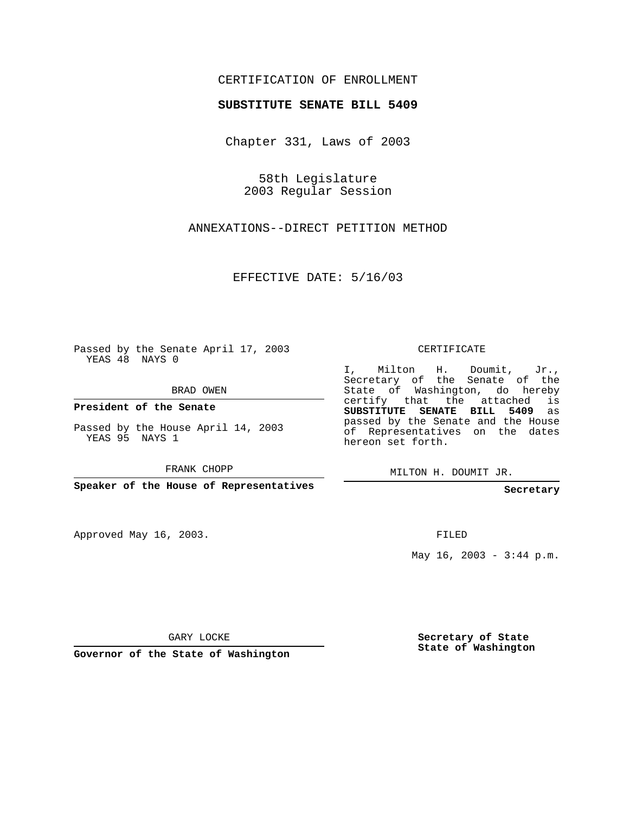## CERTIFICATION OF ENROLLMENT

#### **SUBSTITUTE SENATE BILL 5409**

Chapter 331, Laws of 2003

58th Legislature 2003 Regular Session

ANNEXATIONS--DIRECT PETITION METHOD

EFFECTIVE DATE: 5/16/03

Passed by the Senate April 17, 2003 YEAS 48 NAYS 0

BRAD OWEN

**President of the Senate**

Passed by the House April 14, 2003 YEAS 95 NAYS 1

FRANK CHOPP

**Speaker of the House of Representatives**

Approved May 16, 2003.

CERTIFICATE

I, Milton H. Doumit, Jr., Secretary of the Senate of the State of Washington, do hereby certify that the attached is **SUBSTITUTE SENATE BILL 5409** as passed by the Senate and the House of Representatives on the dates hereon set forth.

MILTON H. DOUMIT JR.

**Secretary**

FILED

May  $16$ ,  $2003 - 3:44$  p.m.

GARY LOCKE

**Governor of the State of Washington**

**Secretary of State State of Washington**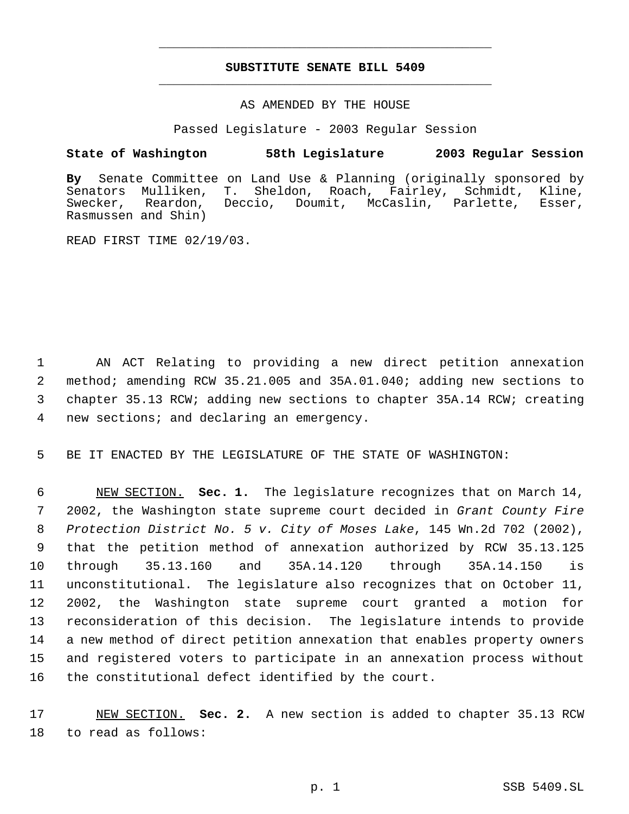# **SUBSTITUTE SENATE BILL 5409** \_\_\_\_\_\_\_\_\_\_\_\_\_\_\_\_\_\_\_\_\_\_\_\_\_\_\_\_\_\_\_\_\_\_\_\_\_\_\_\_\_\_\_\_\_

\_\_\_\_\_\_\_\_\_\_\_\_\_\_\_\_\_\_\_\_\_\_\_\_\_\_\_\_\_\_\_\_\_\_\_\_\_\_\_\_\_\_\_\_\_

#### AS AMENDED BY THE HOUSE

Passed Legislature - 2003 Regular Session

## **State of Washington 58th Legislature 2003 Regular Session**

**By** Senate Committee on Land Use & Planning (originally sponsored by Senators Mulliken, T. Sheldon, Roach, Fairley, Swecker, Reardon, Deccio, Doumit, McCaslin, Parlette, Esser, Rasmussen and Shin)

READ FIRST TIME 02/19/03.

 AN ACT Relating to providing a new direct petition annexation method; amending RCW 35.21.005 and 35A.01.040; adding new sections to chapter 35.13 RCW; adding new sections to chapter 35A.14 RCW; creating new sections; and declaring an emergency.

5 BE IT ENACTED BY THE LEGISLATURE OF THE STATE OF WASHINGTON:

 NEW SECTION. **Sec. 1.** The legislature recognizes that on March 14, 2002, the Washington state supreme court decided in *Grant County Fire Protection District No. 5 v. City of Moses Lake*, 145 Wn.2d 702 (2002), that the petition method of annexation authorized by RCW 35.13.125 through 35.13.160 and 35A.14.120 through 35A.14.150 is unconstitutional. The legislature also recognizes that on October 11, 2002, the Washington state supreme court granted a motion for reconsideration of this decision. The legislature intends to provide a new method of direct petition annexation that enables property owners and registered voters to participate in an annexation process without the constitutional defect identified by the court.

17 NEW SECTION. **Sec. 2.** A new section is added to chapter 35.13 RCW 18 to read as follows: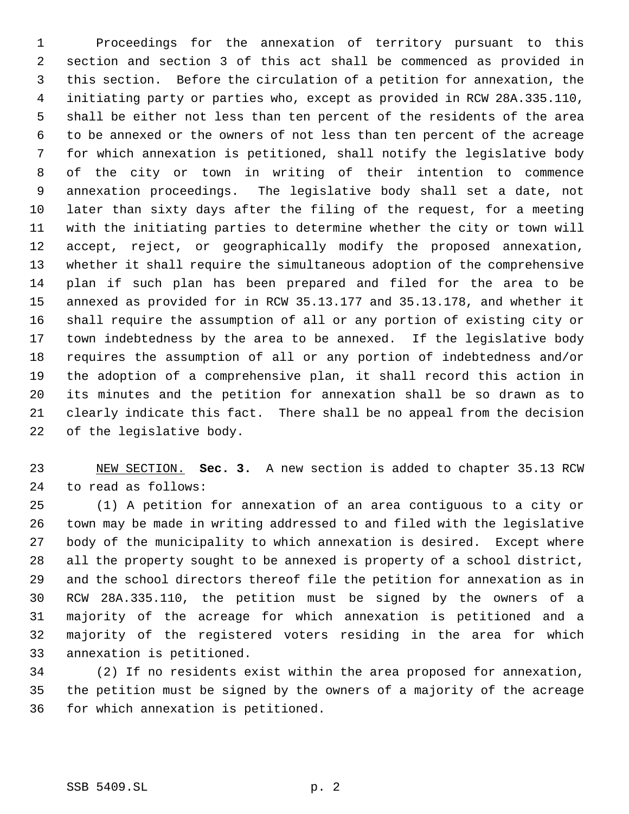Proceedings for the annexation of territory pursuant to this section and section 3 of this act shall be commenced as provided in this section. Before the circulation of a petition for annexation, the initiating party or parties who, except as provided in RCW 28A.335.110, shall be either not less than ten percent of the residents of the area to be annexed or the owners of not less than ten percent of the acreage for which annexation is petitioned, shall notify the legislative body of the city or town in writing of their intention to commence annexation proceedings. The legislative body shall set a date, not later than sixty days after the filing of the request, for a meeting with the initiating parties to determine whether the city or town will accept, reject, or geographically modify the proposed annexation, whether it shall require the simultaneous adoption of the comprehensive plan if such plan has been prepared and filed for the area to be annexed as provided for in RCW 35.13.177 and 35.13.178, and whether it shall require the assumption of all or any portion of existing city or town indebtedness by the area to be annexed. If the legislative body requires the assumption of all or any portion of indebtedness and/or the adoption of a comprehensive plan, it shall record this action in its minutes and the petition for annexation shall be so drawn as to clearly indicate this fact. There shall be no appeal from the decision of the legislative body.

 NEW SECTION. **Sec. 3.** A new section is added to chapter 35.13 RCW to read as follows:

 (1) A petition for annexation of an area contiguous to a city or town may be made in writing addressed to and filed with the legislative body of the municipality to which annexation is desired. Except where all the property sought to be annexed is property of a school district, and the school directors thereof file the petition for annexation as in RCW 28A.335.110, the petition must be signed by the owners of a majority of the acreage for which annexation is petitioned and a majority of the registered voters residing in the area for which annexation is petitioned.

 (2) If no residents exist within the area proposed for annexation, the petition must be signed by the owners of a majority of the acreage for which annexation is petitioned.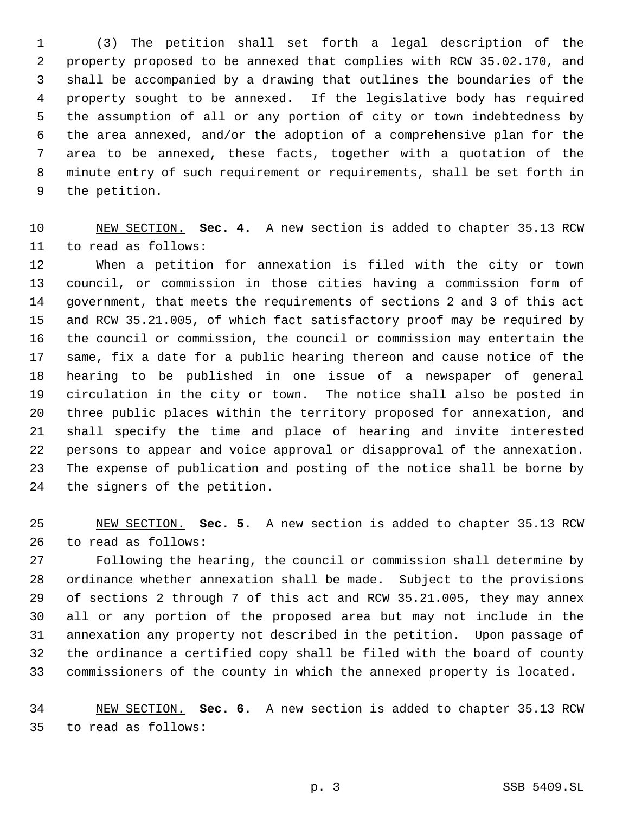(3) The petition shall set forth a legal description of the property proposed to be annexed that complies with RCW 35.02.170, and shall be accompanied by a drawing that outlines the boundaries of the property sought to be annexed. If the legislative body has required the assumption of all or any portion of city or town indebtedness by the area annexed, and/or the adoption of a comprehensive plan for the area to be annexed, these facts, together with a quotation of the minute entry of such requirement or requirements, shall be set forth in the petition.

 NEW SECTION. **Sec. 4.** A new section is added to chapter 35.13 RCW to read as follows:

 When a petition for annexation is filed with the city or town council, or commission in those cities having a commission form of government, that meets the requirements of sections 2 and 3 of this act and RCW 35.21.005, of which fact satisfactory proof may be required by the council or commission, the council or commission may entertain the same, fix a date for a public hearing thereon and cause notice of the hearing to be published in one issue of a newspaper of general circulation in the city or town. The notice shall also be posted in three public places within the territory proposed for annexation, and shall specify the time and place of hearing and invite interested persons to appear and voice approval or disapproval of the annexation. The expense of publication and posting of the notice shall be borne by the signers of the petition.

 NEW SECTION. **Sec. 5.** A new section is added to chapter 35.13 RCW to read as follows:

 Following the hearing, the council or commission shall determine by ordinance whether annexation shall be made. Subject to the provisions of sections 2 through 7 of this act and RCW 35.21.005, they may annex all or any portion of the proposed area but may not include in the annexation any property not described in the petition. Upon passage of the ordinance a certified copy shall be filed with the board of county commissioners of the county in which the annexed property is located.

 NEW SECTION. **Sec. 6.** A new section is added to chapter 35.13 RCW to read as follows: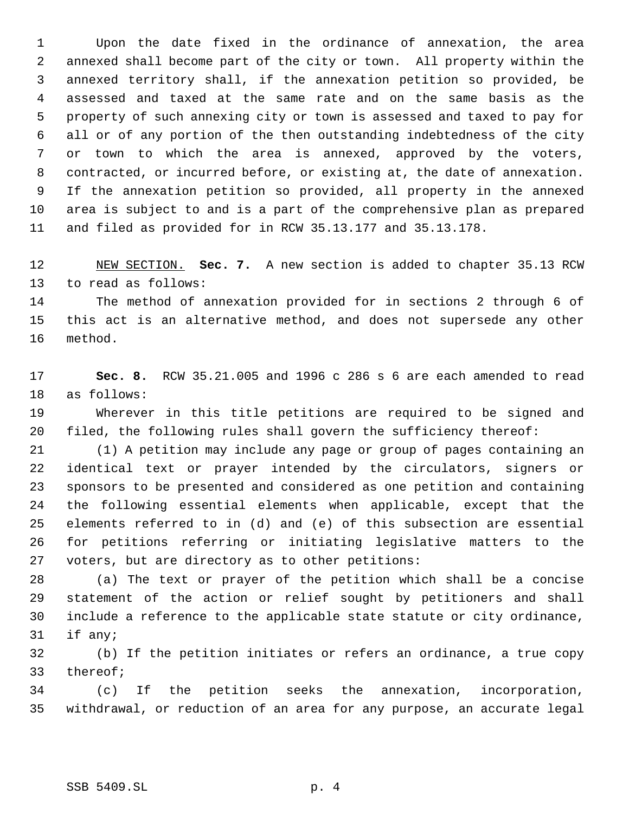Upon the date fixed in the ordinance of annexation, the area annexed shall become part of the city or town. All property within the annexed territory shall, if the annexation petition so provided, be assessed and taxed at the same rate and on the same basis as the property of such annexing city or town is assessed and taxed to pay for all or of any portion of the then outstanding indebtedness of the city or town to which the area is annexed, approved by the voters, contracted, or incurred before, or existing at, the date of annexation. If the annexation petition so provided, all property in the annexed area is subject to and is a part of the comprehensive plan as prepared and filed as provided for in RCW 35.13.177 and 35.13.178.

 NEW SECTION. **Sec. 7.** A new section is added to chapter 35.13 RCW to read as follows:

 The method of annexation provided for in sections 2 through 6 of this act is an alternative method, and does not supersede any other method.

 **Sec. 8.** RCW 35.21.005 and 1996 c 286 s 6 are each amended to read as follows:

 Wherever in this title petitions are required to be signed and filed, the following rules shall govern the sufficiency thereof:

 (1) A petition may include any page or group of pages containing an identical text or prayer intended by the circulators, signers or sponsors to be presented and considered as one petition and containing the following essential elements when applicable, except that the elements referred to in (d) and (e) of this subsection are essential for petitions referring or initiating legislative matters to the voters, but are directory as to other petitions:

 (a) The text or prayer of the petition which shall be a concise statement of the action or relief sought by petitioners and shall include a reference to the applicable state statute or city ordinance, if any;

 (b) If the petition initiates or refers an ordinance, a true copy thereof;

 (c) If the petition seeks the annexation, incorporation, withdrawal, or reduction of an area for any purpose, an accurate legal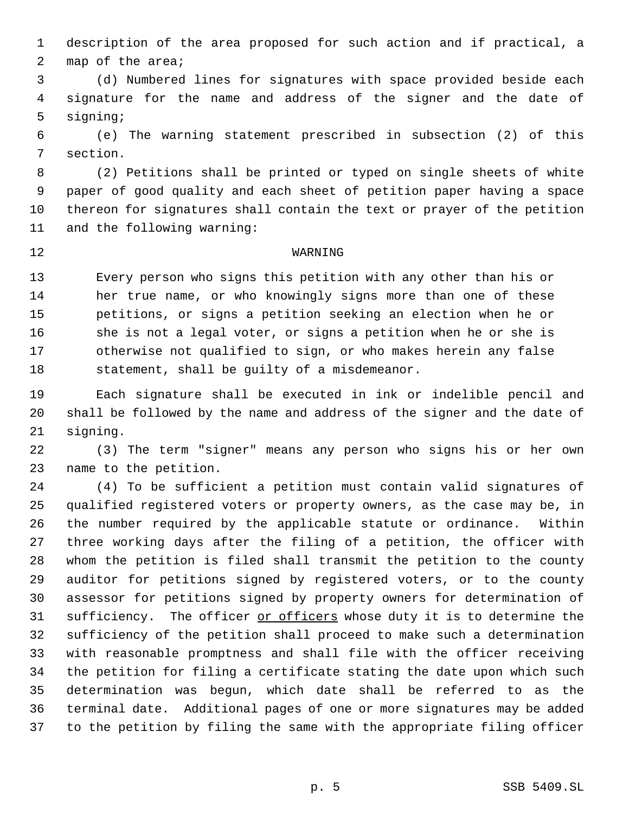description of the area proposed for such action and if practical, a map of the area;

 (d) Numbered lines for signatures with space provided beside each signature for the name and address of the signer and the date of signing;

 (e) The warning statement prescribed in subsection (2) of this section.

 (2) Petitions shall be printed or typed on single sheets of white paper of good quality and each sheet of petition paper having a space thereon for signatures shall contain the text or prayer of the petition and the following warning:

## WARNING

 Every person who signs this petition with any other than his or her true name, or who knowingly signs more than one of these petitions, or signs a petition seeking an election when he or she is not a legal voter, or signs a petition when he or she is otherwise not qualified to sign, or who makes herein any false statement, shall be guilty of a misdemeanor.

 Each signature shall be executed in ink or indelible pencil and shall be followed by the name and address of the signer and the date of signing.

 (3) The term "signer" means any person who signs his or her own name to the petition.

 (4) To be sufficient a petition must contain valid signatures of qualified registered voters or property owners, as the case may be, in the number required by the applicable statute or ordinance. Within three working days after the filing of a petition, the officer with whom the petition is filed shall transmit the petition to the county auditor for petitions signed by registered voters, or to the county assessor for petitions signed by property owners for determination of sufficiency. The officer or officers whose duty it is to determine the sufficiency of the petition shall proceed to make such a determination with reasonable promptness and shall file with the officer receiving the petition for filing a certificate stating the date upon which such determination was begun, which date shall be referred to as the terminal date. Additional pages of one or more signatures may be added to the petition by filing the same with the appropriate filing officer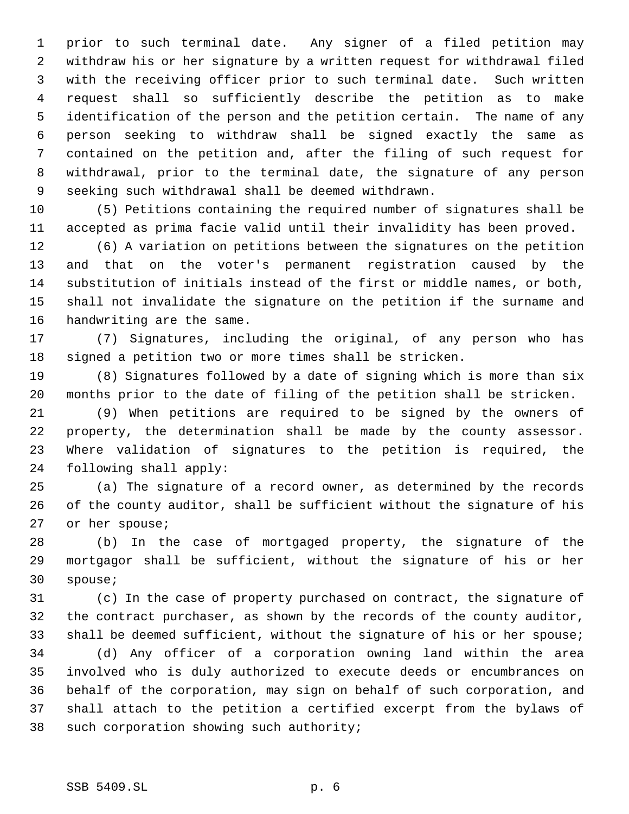prior to such terminal date. Any signer of a filed petition may withdraw his or her signature by a written request for withdrawal filed with the receiving officer prior to such terminal date. Such written request shall so sufficiently describe the petition as to make identification of the person and the petition certain. The name of any person seeking to withdraw shall be signed exactly the same as contained on the petition and, after the filing of such request for withdrawal, prior to the terminal date, the signature of any person seeking such withdrawal shall be deemed withdrawn.

 (5) Petitions containing the required number of signatures shall be accepted as prima facie valid until their invalidity has been proved.

 (6) A variation on petitions between the signatures on the petition and that on the voter's permanent registration caused by the substitution of initials instead of the first or middle names, or both, shall not invalidate the signature on the petition if the surname and handwriting are the same.

 (7) Signatures, including the original, of any person who has signed a petition two or more times shall be stricken.

 (8) Signatures followed by a date of signing which is more than six months prior to the date of filing of the petition shall be stricken.

 (9) When petitions are required to be signed by the owners of property, the determination shall be made by the county assessor. Where validation of signatures to the petition is required, the following shall apply:

 (a) The signature of a record owner, as determined by the records of the county auditor, shall be sufficient without the signature of his or her spouse;

 (b) In the case of mortgaged property, the signature of the mortgagor shall be sufficient, without the signature of his or her spouse;

 (c) In the case of property purchased on contract, the signature of the contract purchaser, as shown by the records of the county auditor, 33 shall be deemed sufficient, without the signature of his or her spouse;

 (d) Any officer of a corporation owning land within the area involved who is duly authorized to execute deeds or encumbrances on behalf of the corporation, may sign on behalf of such corporation, and shall attach to the petition a certified excerpt from the bylaws of such corporation showing such authority;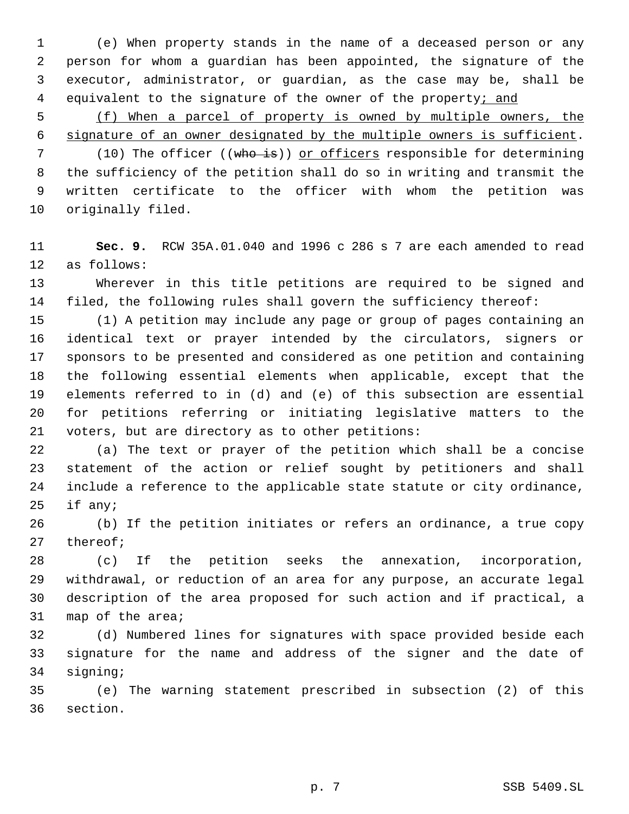(e) When property stands in the name of a deceased person or any person for whom a guardian has been appointed, the signature of the executor, administrator, or guardian, as the case may be, shall be 4 equivalent to the signature of the owner of the property; and

 (f) When a parcel of property is owned by multiple owners, the signature of an owner designated by the multiple owners is sufficient.

7 (10) The officer ((who is)) or officers responsible for determining the sufficiency of the petition shall do so in writing and transmit the written certificate to the officer with whom the petition was originally filed.

 **Sec. 9.** RCW 35A.01.040 and 1996 c 286 s 7 are each amended to read as follows:

 Wherever in this title petitions are required to be signed and filed, the following rules shall govern the sufficiency thereof:

 (1) A petition may include any page or group of pages containing an identical text or prayer intended by the circulators, signers or sponsors to be presented and considered as one petition and containing the following essential elements when applicable, except that the elements referred to in (d) and (e) of this subsection are essential for petitions referring or initiating legislative matters to the voters, but are directory as to other petitions:

 (a) The text or prayer of the petition which shall be a concise statement of the action or relief sought by petitioners and shall include a reference to the applicable state statute or city ordinance, if any;

 (b) If the petition initiates or refers an ordinance, a true copy thereof;

 (c) If the petition seeks the annexation, incorporation, withdrawal, or reduction of an area for any purpose, an accurate legal description of the area proposed for such action and if practical, a map of the area;

 (d) Numbered lines for signatures with space provided beside each signature for the name and address of the signer and the date of signing;

 (e) The warning statement prescribed in subsection (2) of this section.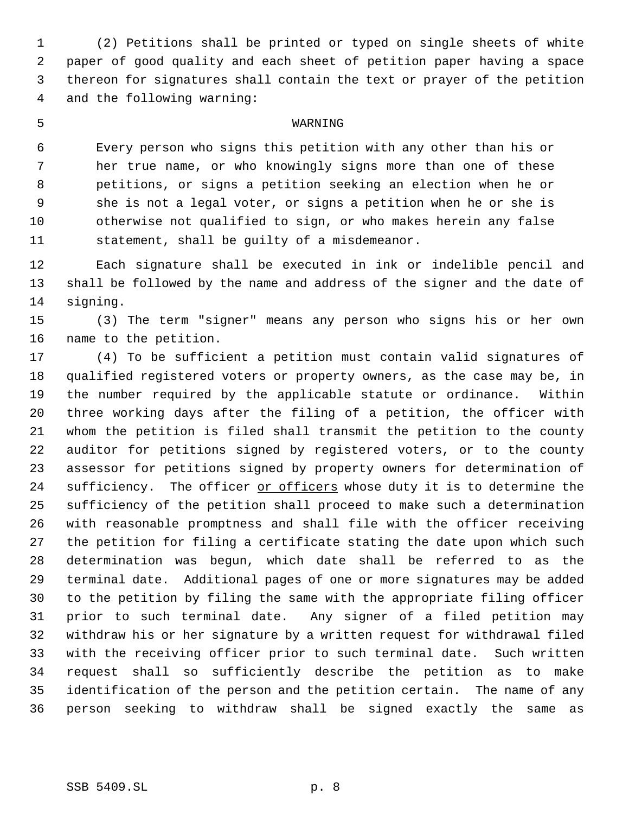(2) Petitions shall be printed or typed on single sheets of white paper of good quality and each sheet of petition paper having a space thereon for signatures shall contain the text or prayer of the petition and the following warning:

#### WARNING

 Every person who signs this petition with any other than his or her true name, or who knowingly signs more than one of these petitions, or signs a petition seeking an election when he or she is not a legal voter, or signs a petition when he or she is otherwise not qualified to sign, or who makes herein any false statement, shall be guilty of a misdemeanor.

 Each signature shall be executed in ink or indelible pencil and shall be followed by the name and address of the signer and the date of signing.

 (3) The term "signer" means any person who signs his or her own name to the petition.

 (4) To be sufficient a petition must contain valid signatures of qualified registered voters or property owners, as the case may be, in the number required by the applicable statute or ordinance. Within three working days after the filing of a petition, the officer with whom the petition is filed shall transmit the petition to the county auditor for petitions signed by registered voters, or to the county assessor for petitions signed by property owners for determination of 24 sufficiency. The officer or officers whose duty it is to determine the sufficiency of the petition shall proceed to make such a determination with reasonable promptness and shall file with the officer receiving the petition for filing a certificate stating the date upon which such determination was begun, which date shall be referred to as the terminal date. Additional pages of one or more signatures may be added to the petition by filing the same with the appropriate filing officer prior to such terminal date. Any signer of a filed petition may withdraw his or her signature by a written request for withdrawal filed with the receiving officer prior to such terminal date. Such written request shall so sufficiently describe the petition as to make identification of the person and the petition certain. The name of any person seeking to withdraw shall be signed exactly the same as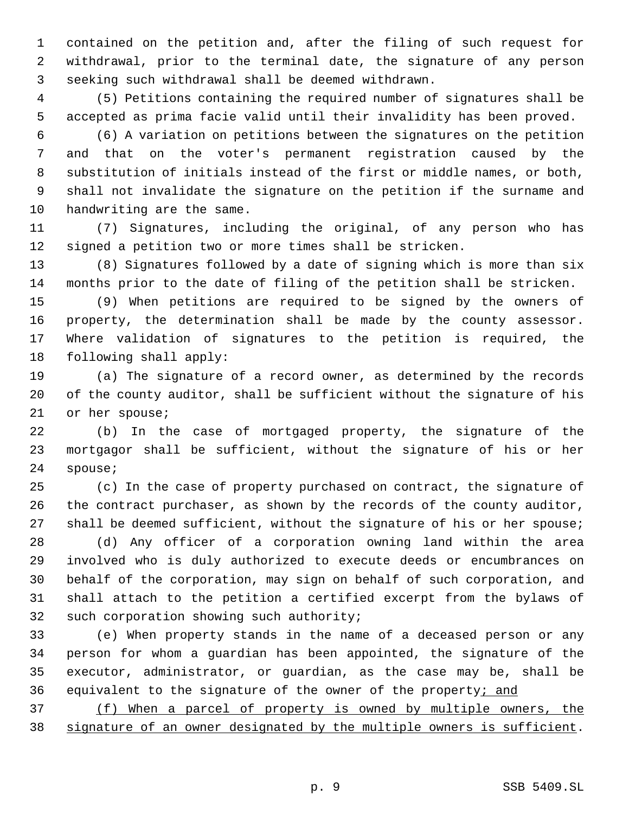contained on the petition and, after the filing of such request for withdrawal, prior to the terminal date, the signature of any person seeking such withdrawal shall be deemed withdrawn.

 (5) Petitions containing the required number of signatures shall be accepted as prima facie valid until their invalidity has been proved.

 (6) A variation on petitions between the signatures on the petition and that on the voter's permanent registration caused by the substitution of initials instead of the first or middle names, or both, shall not invalidate the signature on the petition if the surname and handwriting are the same.

 (7) Signatures, including the original, of any person who has signed a petition two or more times shall be stricken.

 (8) Signatures followed by a date of signing which is more than six months prior to the date of filing of the petition shall be stricken.

 (9) When petitions are required to be signed by the owners of property, the determination shall be made by the county assessor. Where validation of signatures to the petition is required, the following shall apply:

 (a) The signature of a record owner, as determined by the records of the county auditor, shall be sufficient without the signature of his or her spouse;

 (b) In the case of mortgaged property, the signature of the mortgagor shall be sufficient, without the signature of his or her spouse;

 (c) In the case of property purchased on contract, the signature of the contract purchaser, as shown by the records of the county auditor, shall be deemed sufficient, without the signature of his or her spouse;

 (d) Any officer of a corporation owning land within the area involved who is duly authorized to execute deeds or encumbrances on behalf of the corporation, may sign on behalf of such corporation, and shall attach to the petition a certified excerpt from the bylaws of 32 such corporation showing such authority;

 (e) When property stands in the name of a deceased person or any person for whom a guardian has been appointed, the signature of the executor, administrator, or guardian, as the case may be, shall be 36 equivalent to the signature of the owner of the property; and

 (f) When a parcel of property is owned by multiple owners, the signature of an owner designated by the multiple owners is sufficient.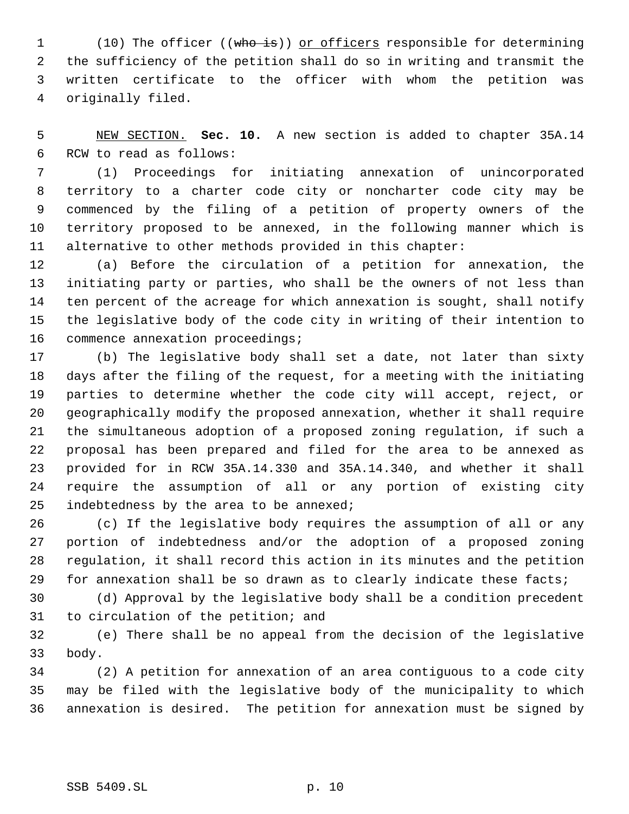1 (10) The officer ((who is)) or officers responsible for determining the sufficiency of the petition shall do so in writing and transmit the written certificate to the officer with whom the petition was originally filed.

 NEW SECTION. **Sec. 10.** A new section is added to chapter 35A.14 RCW to read as follows:

 (1) Proceedings for initiating annexation of unincorporated territory to a charter code city or noncharter code city may be commenced by the filing of a petition of property owners of the territory proposed to be annexed, in the following manner which is alternative to other methods provided in this chapter:

 (a) Before the circulation of a petition for annexation, the initiating party or parties, who shall be the owners of not less than ten percent of the acreage for which annexation is sought, shall notify the legislative body of the code city in writing of their intention to commence annexation proceedings;

 (b) The legislative body shall set a date, not later than sixty days after the filing of the request, for a meeting with the initiating parties to determine whether the code city will accept, reject, or geographically modify the proposed annexation, whether it shall require the simultaneous adoption of a proposed zoning regulation, if such a proposal has been prepared and filed for the area to be annexed as provided for in RCW 35A.14.330 and 35A.14.340, and whether it shall require the assumption of all or any portion of existing city 25 indebtedness by the area to be annexed;

 (c) If the legislative body requires the assumption of all or any portion of indebtedness and/or the adoption of a proposed zoning regulation, it shall record this action in its minutes and the petition for annexation shall be so drawn as to clearly indicate these facts;

 (d) Approval by the legislative body shall be a condition precedent to circulation of the petition; and

 (e) There shall be no appeal from the decision of the legislative body.

 (2) A petition for annexation of an area contiguous to a code city may be filed with the legislative body of the municipality to which annexation is desired. The petition for annexation must be signed by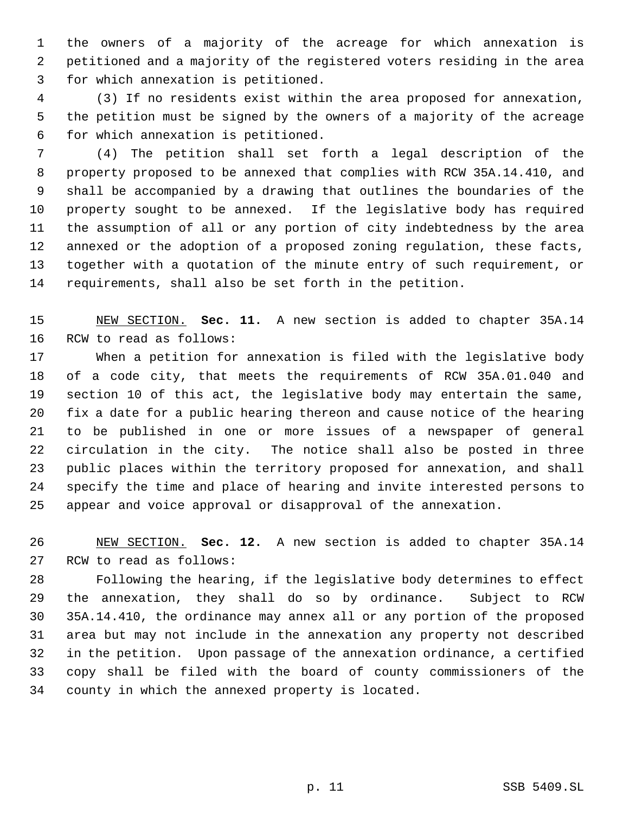the owners of a majority of the acreage for which annexation is petitioned and a majority of the registered voters residing in the area for which annexation is petitioned.

 (3) If no residents exist within the area proposed for annexation, the petition must be signed by the owners of a majority of the acreage for which annexation is petitioned.

 (4) The petition shall set forth a legal description of the property proposed to be annexed that complies with RCW 35A.14.410, and shall be accompanied by a drawing that outlines the boundaries of the property sought to be annexed. If the legislative body has required the assumption of all or any portion of city indebtedness by the area annexed or the adoption of a proposed zoning regulation, these facts, together with a quotation of the minute entry of such requirement, or requirements, shall also be set forth in the petition.

 NEW SECTION. **Sec. 11.** A new section is added to chapter 35A.14 RCW to read as follows:

 When a petition for annexation is filed with the legislative body of a code city, that meets the requirements of RCW 35A.01.040 and section 10 of this act, the legislative body may entertain the same, fix a date for a public hearing thereon and cause notice of the hearing to be published in one or more issues of a newspaper of general circulation in the city. The notice shall also be posted in three public places within the territory proposed for annexation, and shall specify the time and place of hearing and invite interested persons to appear and voice approval or disapproval of the annexation.

 NEW SECTION. **Sec. 12.** A new section is added to chapter 35A.14 RCW to read as follows:

 Following the hearing, if the legislative body determines to effect the annexation, they shall do so by ordinance. Subject to RCW 35A.14.410, the ordinance may annex all or any portion of the proposed area but may not include in the annexation any property not described in the petition. Upon passage of the annexation ordinance, a certified copy shall be filed with the board of county commissioners of the county in which the annexed property is located.